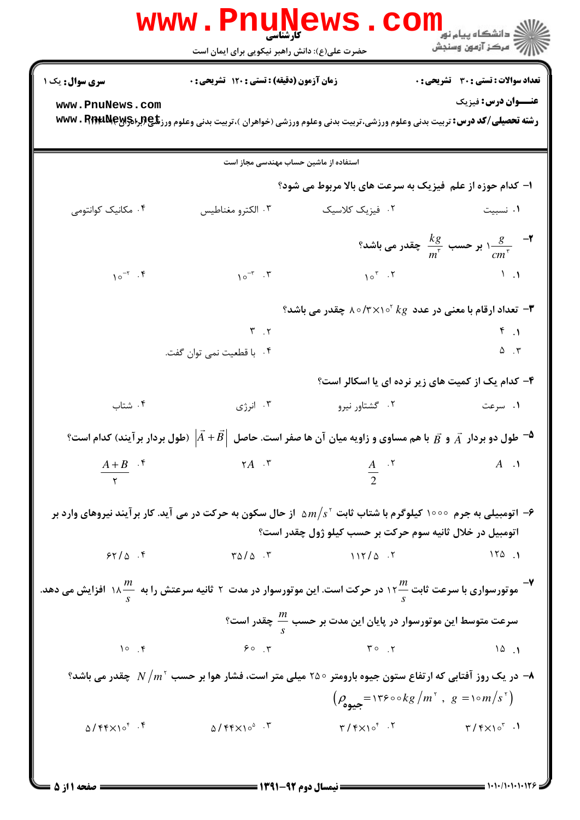|                    | WWW.Pnun<br>حضرت علی(ع): دانش راهبر نیکویی برای ایمان است                                                                                      | <b>AWS</b>                                   | ≦ دانشگاه پیام نو <mark>ر</mark><br>سكز آزمون وسنجش                                                                                                                                                                                                                                                                                                                                                                                                             |
|--------------------|------------------------------------------------------------------------------------------------------------------------------------------------|----------------------------------------------|-----------------------------------------------------------------------------------------------------------------------------------------------------------------------------------------------------------------------------------------------------------------------------------------------------------------------------------------------------------------------------------------------------------------------------------------------------------------|
| سری سوال: یک ۱     | <b>زمان آزمون (دقیقه) : تستی : 120 تشریحی : 0</b>                                                                                              |                                              | تعداد سوالات : تستي : 30 ٪ تشريحي : 0                                                                                                                                                                                                                                                                                                                                                                                                                           |
| www.PnuNews.com    | <b>رشته تحصیلی/کد درس:</b> تربیت بدنی وعلوم ورزشی،تربیت بدنی وعلوم ورزشی (خواهران )،تربیت بدنی وعلوم ورز <b>تلچ(برادMPS) WWW . Rifit Ne</b> y  |                                              | <b>عنـــوان درس:</b> فیزیک                                                                                                                                                                                                                                                                                                                                                                                                                                      |
|                    | استفاده از ماشین حساب مهندسی مجاز است                                                                                                          |                                              |                                                                                                                                                                                                                                                                                                                                                                                                                                                                 |
|                    |                                                                                                                                                |                                              | ا- کدام حوزه از علم فیزیک به سرعت های بالا مربوط می شود؟                                                                                                                                                                                                                                                                                                                                                                                                        |
| ۰۴ مکانیک کوانتومی | ۰۳ الکترو مغناطیس                                                                                                                              | ٠٢ فيزيک کلاسيک                              | ۰۱ نسبیت                                                                                                                                                                                                                                                                                                                                                                                                                                                        |
|                    |                                                                                                                                                |                                              | م - $\frac{kg}{m^{\frac{v}{\zeta}}}$ ۱ بر حسب $\frac{kg}{m^{\frac{v}{\zeta}}}$ چقدر می باشد $\frac{g}{cm^{\frac{v}{\zeta}}}$                                                                                                                                                                                                                                                                                                                                    |
| $10^{-7}$ .        | $\gamma \circ^{-r} \cdot$ .                                                                                                                    | $10^{\circ}$ . T                             | $\mathcal{N}$ .                                                                                                                                                                                                                                                                                                                                                                                                                                                 |
|                    |                                                                                                                                                |                                              | تعداد ارقام با معنی در عدد $k g \propto \gamma \times \gamma \circ \gamma$ چقدر می باشد $\bullet$                                                                                                                                                                                                                                                                                                                                                               |
|                    | $\mathsf{r}$ $\mathsf{r}$                                                                                                                      |                                              | $F_{1}$                                                                                                                                                                                                                                                                                                                                                                                                                                                         |
|                    | ۰۴ با قطعیت نمی توان گفت.                                                                                                                      |                                              | $\Delta$ . $\Upsilon$                                                                                                                                                                                                                                                                                                                                                                                                                                           |
|                    |                                                                                                                                                |                                              | ۴- کدام یک از کمیت های زیر نرده ای یا اسکالر است؟                                                                                                                                                                                                                                                                                                                                                                                                               |
| ۰۴ شتاب            | ۰۳ انرژی                                                                                                                                       | ۰۲ گشتاور نیرو                               | ۰۱ سرعت                                                                                                                                                                                                                                                                                                                                                                                                                                                         |
|                    | $^2$ $^2$ طول دو بردار $\vec A$ و $\vec B$ با هم مساوی و زاویه میان آن ها صفر است. حاصل $A+B $ (طول بردار برآیند) کدام است $^2$                |                                              |                                                                                                                                                                                                                                                                                                                                                                                                                                                                 |
| $\frac{A+B}{r}$ .* | $\mathsf{r}_A$ .                                                                                                                               | $rac{A}{2}$ . $\binom{8}{1}$                 | $A \cdot \mathcal{A}$                                                                                                                                                                                                                                                                                                                                                                                                                                           |
|                    |                                                                                                                                                |                                              |                                                                                                                                                                                                                                                                                                                                                                                                                                                                 |
|                    | اتومبیلی به جرم ۱۰۰۰۰ کیلوگرم با شتاب ثابت ۵ $m/s^{\,\mathrm{v}}$ از حال سکون به حرکت در می آید. کار برآیند نیروهای وارد بر $\bullet$          |                                              |                                                                                                                                                                                                                                                                                                                                                                                                                                                                 |
|                    |                                                                                                                                                |                                              | اتومبيل در خلال ثانيه سوم حركت بر حسب كيلو ژول چقدر است؟                                                                                                                                                                                                                                                                                                                                                                                                        |
| 55/0.7             | $\sqrt{2}$ $\sqrt{2}$                                                                                                                          | $117/\Delta$ . T                             | 150.1                                                                                                                                                                                                                                                                                                                                                                                                                                                           |
|                    | موتورسواری با سرعت ثابت ۱۲ $\frac{m}{\varsigma}$ در حرکت است. این موتورسوار در مدت ۲ ثانیه سرعتش را به $\frac{m}{\varsigma}$ ۱۸ افزایش می دهد. |                                              |                                                                                                                                                                                                                                                                                                                                                                                                                                                                 |
|                    |                                                                                                                                                |                                              | سرعت متوسط این موتورسوار در پایان این مدت بر حسب $\frac{m}{\varsigma}$ چقدر است؟                                                                                                                                                                                                                                                                                                                                                                                |
| 10.9               | 90.7                                                                                                                                           | $\mathbf{y} \circ \mathbf{y}$                | 10.1                                                                                                                                                                                                                                                                                                                                                                                                                                                            |
|                    | ه در یک روز آفتابی که ارتفاع ستون جیوه بارومتر 200 میلی متر است، فشار هوا بر حسب $N/m^\gamma$ چقدر می باشد؟ →                                  |                                              |                                                                                                                                                                                                                                                                                                                                                                                                                                                                 |
|                    |                                                                                                                                                |                                              | $\left(\rho_{\text{max}} = \frac{1}{8} \cdot \frac{1}{8} \cdot \frac{1}{8} \cdot \frac{1}{8} \cdot \frac{1}{8} \cdot \frac{1}{8} \cdot \frac{1}{8} \cdot \frac{1}{8} \cdot \frac{1}{8} \cdot \frac{1}{8} \cdot \frac{1}{8} \cdot \frac{1}{8} \cdot \frac{1}{8} \cdot \frac{1}{8} \cdot \frac{1}{8} \cdot \frac{1}{8} \cdot \frac{1}{8} \cdot \frac{1}{8} \cdot \frac{1}{8} \cdot \frac{1}{8} \cdot \frac{1}{8} \cdot \frac{1}{8} \cdot \frac{1}{8} \cdot \frac$ |
|                    | $\Delta/Ff \times 10^6$ f $\Delta/Ff \times 10^6$ f                                                                                            |                                              | $\mathbf{r}/\mathbf{r} \times \mathbf{10}^{\mathsf{r}}$ . T $\mathbf{r}/\mathbf{r} \times \mathbf{10}^{\mathsf{r}}$ .                                                                                                                                                                                                                                                                                                                                           |
|                    |                                                                                                                                                |                                              |                                                                                                                                                                                                                                                                                                                                                                                                                                                                 |
|                    |                                                                                                                                                | ــــــــــــــــ نيمسال دوم 92-1391 ــــــــ |                                                                                                                                                                                                                                                                                                                                                                                                                                                                 |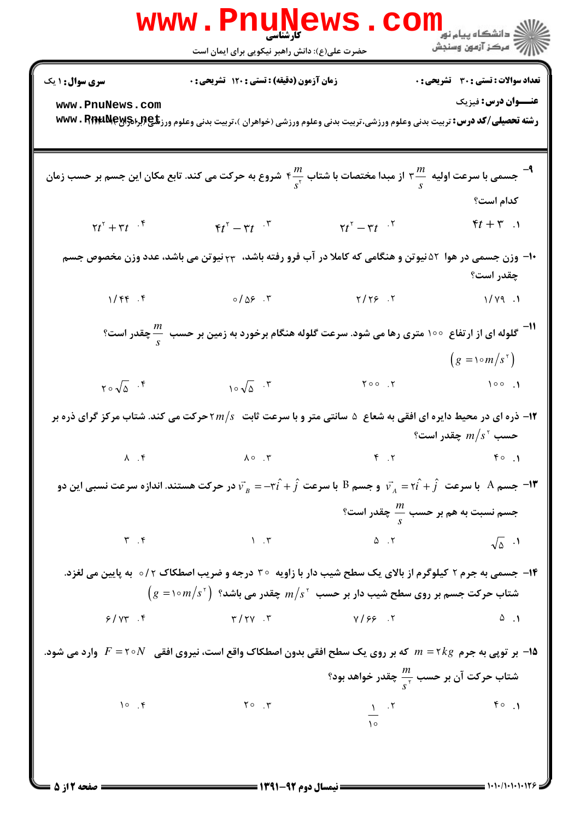|                                                                                                                                                                                                                          | <b>www.Pnune</b><br><b>کارشناسی</b><br>حضرت علی(ع): دانش راهبر نیکویی برای ایمان است                                                                                                                                     | WS.CO                           | الا دانشگاه پیام نور<br>الاستخار ازمون وسنجش                       |  |  |  |
|--------------------------------------------------------------------------------------------------------------------------------------------------------------------------------------------------------------------------|--------------------------------------------------------------------------------------------------------------------------------------------------------------------------------------------------------------------------|---------------------------------|--------------------------------------------------------------------|--|--|--|
| <b>سری سوال : ۱ یک</b><br>www.PnuNews.com                                                                                                                                                                                | زمان آزمون (دقیقه) : تستی : ۱۲۰ تشریحی : 0<br><b>رشته تحصیلی/کد درس:</b> تربیت بدنی وعلوم ورزشی،تربیت بدنی وعلوم ورزشی (خواهران )،تربیت بدنی وعلوم ورز <b>تگی(براد؟wwv . PippaNey</b>                                    |                                 | <b>تعداد سوالات : تستی : 30 ٪ تشریحی : 0</b><br>عنــوان درس: فیزیک |  |  |  |
| جسمی با سرعت اولیه $\frac{m}{s}$ ۲ از مبدا مختصات با شتاب ۴ $\frac{m}{s^{\texttt{y}}}$ شروع به حرکت می کند. تابع مکان این جسم بر حسب زمان $\frac{m}{s}$                                                                  |                                                                                                                                                                                                                          |                                 |                                                                    |  |  |  |
|                                                                                                                                                                                                                          |                                                                                                                                                                                                                          |                                 | كدام است؟                                                          |  |  |  |
| $\tau t^{\tau} + \tau t^{\tau + \tau}$                                                                                                                                                                                   | $\mathfrak{r}t^{\mathfrak{r}}-\mathfrak{r}t^{-\mathfrak{r}}$                                                                                                                                                             | $\tau t^{\tau} - \tau t^{\tau}$ | $\mathfrak{k}t+\mathfrak{r}$ .                                     |  |  |  |
| ۱۰- وزن جسمی در هوا ۵۲ نیوتن و هنگامی که کاملا در آب فرو رفته باشد، ۲۳ نیوتن می باشد، عدد وزن مخصوص جسم<br>چقدر است؟                                                                                                     |                                                                                                                                                                                                                          |                                 |                                                                    |  |  |  |
|                                                                                                                                                                                                                          | $1/99.5$ $1/199.1$                                                                                                                                                                                                       |                                 |                                                                    |  |  |  |
| ا <sup>11-</sup> گلوله ای از ارتفاع ۱۰۰ متری رها می شود. سرعت گلوله هنگام برخورد به زمین بر حسب <sup>11</sup> ۰۰ چقدر است؟<br>د                                                                                          |                                                                                                                                                                                                                          |                                 |                                                                    |  |  |  |
|                                                                                                                                                                                                                          |                                                                                                                                                                                                                          |                                 | $(g = \sqrt{m/s^2})$                                               |  |  |  |
| $\gamma \circ \sqrt{\Delta}$ .                                                                                                                                                                                           | $10\sqrt{\Delta}$ . $\sqrt{}$                                                                                                                                                                                            |                                 | 100.7                                                              |  |  |  |
| ا- ذره ای در محیط دایره ای افقی به شعاع $\,$ سانتی متر و با سرعت ثابت $m/s$ حرکت می کند. شتاب مرکز گرای ذره بر $\,$ ۲<br>حسب ' $m/s^{\tau}$ چقدر است؟                                                                    |                                                                                                                                                                                                                          |                                 |                                                                    |  |  |  |
|                                                                                                                                                                                                                          | $\lambda$ $f$ $\lambda \circ r$ $f$ $f$                                                                                                                                                                                  |                                 |                                                                    |  |  |  |
|                                                                                                                                                                                                                          | جسم A۔ با سرعت $\hat{i}+\hat{j}$ و جسم B۔ با سرعت $\hat{i}+\hat{j}$ با سرعت B۔ جسم B۔ با سرعت نسبی این دو $\vec{v}_A=\tau\hat{i}+\hat{j}$ با سرعت $\vec{v}_A=\tau\hat{i}+\hat{j}$ در حرکت هستند. اندازہ سرعت نسبی این دو |                                 |                                                                    |  |  |  |
|                                                                                                                                                                                                                          |                                                                                                                                                                                                                          |                                 | جسم نسبت به هم بر حسب $\frac{m}{s}$ چقدر است؟                      |  |  |  |
|                                                                                                                                                                                                                          | $\mathbf{r} \quad \mathbf{r} \qquad \qquad \mathbf{r} \qquad \qquad \mathbf{r} \qquad \qquad \mathbf{r} \qquad \qquad \mathbf{r} \qquad \qquad \sqrt{\Delta} \quad \mathbf{.1}$                                          |                                 |                                                                    |  |  |  |
| ۱۴- جسمی به جرم ۲ کیلوگرم از بالای یک سطح شیب دار با زاویه ۳۰ درجه و ضریب اصطکاک ۲/۰   به پایین می لغزد.<br>$\bigl( g =$ شتاب حرکت جسم بر روی سطح شیب دار بر حسب $s^{\, \mathrm{v}}$ چقدر می باشد؟ $m/s^{\, \mathrm{v}}$ |                                                                                                                                                                                                                          |                                 |                                                                    |  |  |  |
|                                                                                                                                                                                                                          | $Y/YY$ f $Y/YY. Y$ with $Y/SY. Y$                                                                                                                                                                                        |                                 |                                                                    |  |  |  |
|                                                                                                                                                                                                                          | ه - بر توپی به جرم $\kappa$ ۲ × ۱۵ $m=$ که بر روی یک سطح افقی بدون اصطکاک واقع است، نیروی افقی $N$ ۲۰ = $F$ وارد می شود.                                                                                                 |                                 | شتاب حرکت آن بر حسب $\frac{m}{\text{c}^{\gamma}}$ چقدر خواهد بود؟  |  |  |  |
|                                                                                                                                                                                                                          | 10 .4 $\frac{1}{10}$ . T $\frac{1}{10}$ . T $\frac{1}{10}$ . T $\frac{1}{10}$                                                                                                                                            |                                 |                                                                    |  |  |  |

 $=$  1+1+/1+1+1+175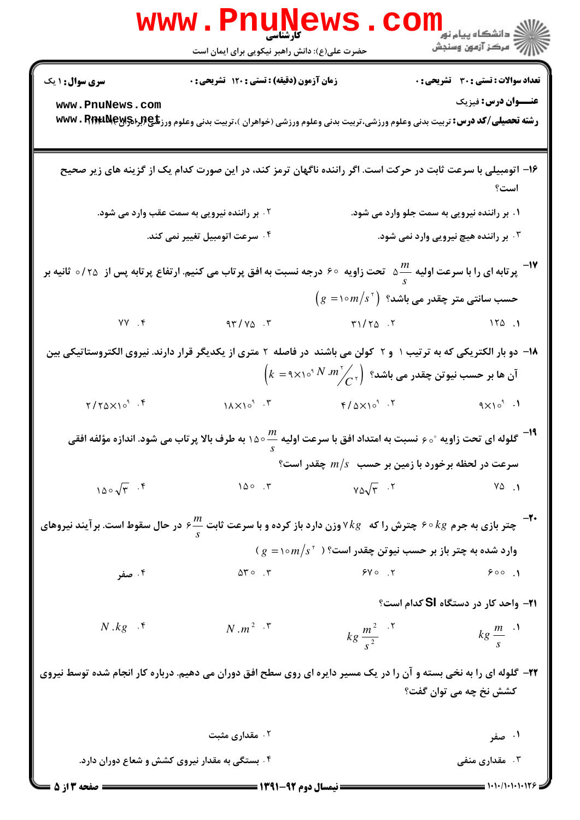|                                                                                                                                                       | کارشناسی<br>حضرت علی(ع): دانش راهبر نیکویی برای ایمان است                                                                                   |                                                                                                                                                | الاد دانشگاه پيام نو <b>ر LL</b><br>الا هرکز آزمون وسنجش |  |
|-------------------------------------------------------------------------------------------------------------------------------------------------------|---------------------------------------------------------------------------------------------------------------------------------------------|------------------------------------------------------------------------------------------------------------------------------------------------|----------------------------------------------------------|--|
| سری سوال: ۱ یک                                                                                                                                        | زمان آزمون (دقیقه) : تستی : ۱۲۰ تشریحی : ۰                                                                                                  |                                                                                                                                                | <b>تعداد سوالات : تستي : 30 ٪ تشريحي : 0</b>             |  |
| www.PnuNews.com                                                                                                                                       | <b>رشته تحصیلی/کد درس:</b> تربیت بدنی وعلوم ورزشی،تربیت بدنی وعلوم ورزشی (خواهران )،تربیت بدنی وعلوم ورز <b>شگی (براهکی www . PinruNeyr</b> |                                                                                                                                                | عنــوان درس: فیزیک                                       |  |
|                                                                                                                                                       | ۱۶– اتومبیلی با سرعت ثابت در حرکت است. اگر راننده ناگهان ترمز کند، در این صورت کدام یک از گزینه های زیر صحیح                                |                                                                                                                                                | است؟                                                     |  |
|                                                                                                                                                       | ۰۲ بر راننده نیرویی به سمت عقب وارد می شود.                                                                                                 | ۰۱ بر راننده نیرویی به سمت جلو وارد می شود.                                                                                                    |                                                          |  |
|                                                                                                                                                       | ۰۴ سرعت اتومبیل تغییر نمی کند.                                                                                                              |                                                                                                                                                | ۰۳ بر راننده هیچ نیرویی وارد نمی شود.                    |  |
| لا آپر تابه ای را با سرعت اولیه $\frac{m}{s}$ تحت زاویه ۶۰ درجه نسبت به افق پر تاب می کنیم. ارتفاع پر تابه پس از $\sim$ ۱۷ ثانیه بر $^{-1}$ ۷ $^{-1}$ |                                                                                                                                             |                                                                                                                                                |                                                          |  |
|                                                                                                                                                       |                                                                                                                                             | $\bigl(g = \mathcal{N} \circ m/s^\tau\bigr)$ حسب سانتی متر چقدر می باشد؟                                                                       |                                                          |  |
| $YY \rightarrow Y$                                                                                                                                    | $47/40$ .                                                                                                                                   | $T1/TQ \tN$                                                                                                                                    |                                                          |  |
|                                                                                                                                                       | ۱۸– دو بار الکتریکی که به ترتیب ۱ و ۲ کولن می باشند در فاصله ۲ متری از یکدیگر قرار دارند. نیروی الکتروستاتیکی بین                           | $\left(k\ = \mathsf{A} \times \mathsf{A} \circ^{\mathsf{A}} N \ .m^\mathsf{A}_{\bigcirc C^\mathsf{A}}\right)$ آن ها بر حسب نیوتن چقدر می باشد؟ |                                                          |  |
| $\frac{1}{2}$ . $\frac{1}{2}$                                                                                                                         |                                                                                                                                             |                                                                                                                                                |                                                          |  |
| <sup>19−</sup> گلوله ای تحت زاویه °ه ۶ نسبت به امتداد افق با سرعت اولیه ™۱۵۰ به طرف بالا پرتاب می شود. اندازه مؤلفه افقی                              |                                                                                                                                             |                                                                                                                                                |                                                          |  |
|                                                                                                                                                       |                                                                                                                                             | 9 سرعت در لحظه برخورد با زمین بر حسب $m/s$ چقدر است                                                                                            |                                                          |  |
| $100\sqrt{r}$ .                                                                                                                                       | 100.7<br>چتر بازی به جرم ۶۰ ⁄۶ چترش را که $k$ ۷ وزن دارد باز کرده و با سرعت ثابت ج $\frac{m}{s}$ در حال سقوط است. برآیند نیروهای $^+$       | $V \triangle \sqrt{r}$ .                                                                                                                       | $Y\Delta$ .                                              |  |
|                                                                                                                                                       |                                                                                                                                             | وارد شده به چتر باز بر حسب نیوتن چقدر است؟ ( $m/s^{\tau}$ ) ( $g = \circ m/s^{\tau}$                                                           |                                                          |  |
| ۰۴ صفر                                                                                                                                                | $\Delta \Upsilon$ . $\Upsilon$                                                                                                              | $Y \circ Y$                                                                                                                                    | 900.1                                                    |  |
|                                                                                                                                                       |                                                                                                                                             |                                                                                                                                                | <b>۲۱</b> - واحد کار در دستگاه <b>SI</b> کدام است؟       |  |
| $N.kg \cdot$                                                                                                                                          | $N \cdot m^2 \cdot \tilde{N}$                                                                                                               | $k g \frac{m^2}{s^2}$                                                                                                                          | $kg \frac{m}{s}$ <sup>.</sup>                            |  |
|                                                                                                                                                       | ۲۲- گلوله ای را به نخی بسته و آن را در یک مسیر دایره ای روی سطح افق دوران می دهیم. درباره کار انجام شده توسط نیروی                          |                                                                                                                                                | کشش نخ چه می توان گفت؟                                   |  |
|                                                                                                                                                       | ۰۲ مقداری مثبت                                                                                                                              |                                                                                                                                                | ۰۱ صفر                                                   |  |
|                                                                                                                                                       | ۰۴ بستگی به مقدار نیروی کشش و شعاع دوران دارد.                                                                                              |                                                                                                                                                | ۰۳ مقداری منفی                                           |  |
| = صفحه 3 از 5                                                                                                                                         | <b>==</b> نیمسال دوم 92-1391 <del>======</del>                                                                                              |                                                                                                                                                |                                                          |  |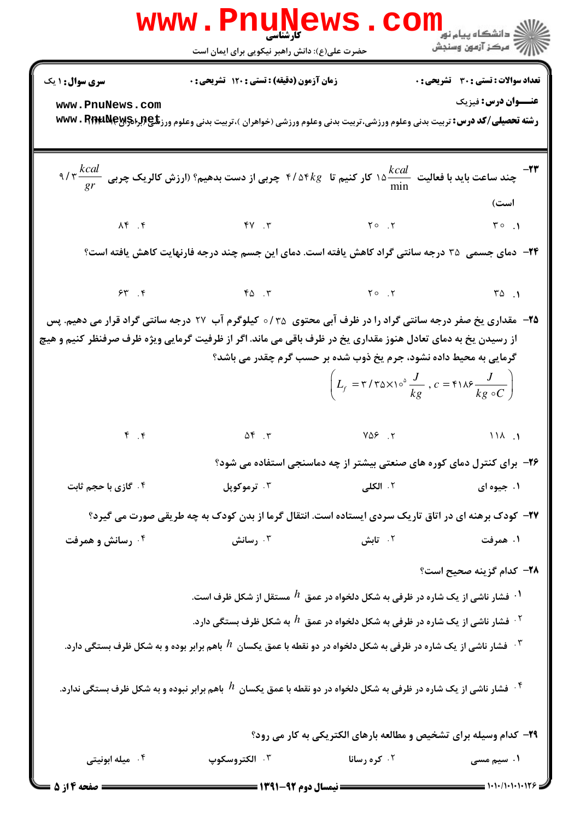|                                                                                                                                                                                                                                                                                                                                                                                                    | www.Pnunews.<br>کارشناسی<br>حضرت علی(ع): دانش راهبر نیکویی برای ایمان است                                                                                                                                                                                                                                                                                                                                                                                            |                     | الله دانشگاه پیام نور COM<br>الله عرکز آزمون وسنجش |  |  |
|----------------------------------------------------------------------------------------------------------------------------------------------------------------------------------------------------------------------------------------------------------------------------------------------------------------------------------------------------------------------------------------------------|----------------------------------------------------------------------------------------------------------------------------------------------------------------------------------------------------------------------------------------------------------------------------------------------------------------------------------------------------------------------------------------------------------------------------------------------------------------------|---------------------|----------------------------------------------------|--|--|
| <b>سری سوال : ۱ یک</b>                                                                                                                                                                                                                                                                                                                                                                             | زمان آزمون (دقیقه) : تستی : ۱۲۰ تشریحی : 0                                                                                                                                                                                                                                                                                                                                                                                                                           |                     | <b>تعداد سوالات : تستی : 30 - تشریحی : 0</b>       |  |  |
| www.PnuNews.com                                                                                                                                                                                                                                                                                                                                                                                    | <b>رشته تحصیلی/کد درس:</b> تربیت بدنی وعلوم ورزشی،تربیت بدنی وعلوم ورزشی (خواهران )،تربیت بدنی وعلوم ورز <b>تلچ(برادMwv . RffruNeyg</b>                                                                                                                                                                                                                                                                                                                              |                     | <b>عنـــوان درس:</b> فیزیک                         |  |  |
| ۹/۳ $\frac{kcal}{gr}$ چند ساعت باید با فعالیت $\frac{kcal}{\text{min}}$ ۱۵ کار کنیم تا $\frac{kcal}{\text{min}}$ ۴/۵۴ چربی از دست بدهیم؟ (ارزش کالریک چربی $\frac{kcal}{gr}$ ۹/۴                                                                                                                                                                                                                   |                                                                                                                                                                                                                                                                                                                                                                                                                                                                      |                     |                                                    |  |  |
|                                                                                                                                                                                                                                                                                                                                                                                                    | $\begin{array}{ccccccccccccccccc}\n\text{AF} & \text{AF} & \text{AF} & \text{AF} & \text{AF} & \text{AF} & \text{AF} & \text{AF} & \text{AF} & \text{AF} & \text{AF} & \text{AF} & \text{AF} & \text{AF} & \text{AF} & \text{AF} & \text{AF} & \text{AF} & \text{AF} & \text{AF} & \text{AF} & \text{AF} & \text{AF} & \text{AF} & \text{AF} & \text{AF} & \text{AF} & \text{AF} & \text{AF} & \text{AF} & \text{AF} & \text{AF} & \text{AF} & \text{AF} & \text{AF$ |                     | است)                                               |  |  |
|                                                                                                                                                                                                                                                                                                                                                                                                    | <b>۳۴</b> − دمای جسمی ۳۵ درجه سانتی گراد کاهش یافته است. دمای این جسم چند درجه فارنهایت کاهش یافته است؟                                                                                                                                                                                                                                                                                                                                                              |                     |                                                    |  |  |
|                                                                                                                                                                                                                                                                                                                                                                                                    | $55.7$ $50.7$ $50.7$ $50.7$                                                                                                                                                                                                                                                                                                                                                                                                                                          |                     |                                                    |  |  |
| ۲۵− ً مقداری یخ صفر درجه سانتی گراد را در ظرف آبی محتوی ۱۳۵⊙ کیلوگرم آب ۲۷ درجه سانتی گراد قرار می دهیم. پس<br>از رسیدن یخ به دمای تعادل هنوز مقداری یخ در ظرف باقی می ماند. اگر از ظرفیت گرمایی ویژه ظرف صرفنظر کنیم و هیچ<br>گرمایی به محیط داده نشود، جرم یخ ذوب شده بر حسب گرم چقدر می باشد؟<br>$\left(L_f = r/r \Delta \times 10^8 \frac{J}{kg}$ , $c = r \Delta \frac{J}{kg \circ C}\right)$ |                                                                                                                                                                                                                                                                                                                                                                                                                                                                      |                     |                                                    |  |  |
|                                                                                                                                                                                                                                                                                                                                                                                                    | $P. P$ (1) A $P. P$ (1) A $P. P$ (1) A $P. P$                                                                                                                                                                                                                                                                                                                                                                                                                        |                     |                                                    |  |  |
|                                                                                                                                                                                                                                                                                                                                                                                                    | ۲۶- برای کنترل دمای کوره های صنعتی بیشتر از چه دماسنجی استفاده می شود؟                                                                                                                                                                                                                                                                                                                                                                                               |                     |                                                    |  |  |
| ۰۴ گازی با حجم ثابت                                                                                                                                                                                                                                                                                                                                                                                | ۰۳ ترموکوپل                                                                                                                                                                                                                                                                                                                                                                                                                                                          | ۰۲ الکلی            | ۰۱ جیوه ای                                         |  |  |
|                                                                                                                                                                                                                                                                                                                                                                                                    | ۲۷- کودک برهنه ای در اتاق تاریک سردی ایستاده است. انتقال گرما از بدن کودک به چه طریقی صورت می گیرد؟                                                                                                                                                                                                                                                                                                                                                                  |                     |                                                    |  |  |
| ۰۴ رسانش و همرفت                                                                                                                                                                                                                                                                                                                                                                                   | ۰۳ رسانش                                                                                                                                                                                                                                                                                                                                                                                                                                                             | ۰۲ تابش             | ۱. همرفت                                           |  |  |
|                                                                                                                                                                                                                                                                                                                                                                                                    |                                                                                                                                                                                                                                                                                                                                                                                                                                                                      |                     | <b>۲۸</b> – کدام گزینه صحیح است؟                   |  |  |
|                                                                                                                                                                                                                                                                                                                                                                                                    | $\,$ ۰۱ فشار ناشی از یک شاره در ظرفی به شکل دلخواه در عمق $\,$ $\,$ مستقل از شکل ظرف است. $\,$                                                                                                                                                                                                                                                                                                                                                                       |                     |                                                    |  |  |
| فشار ناشی از یک شاره در ظرفی به شکل دلخواه در عمق $h$ به شکل ظرف بستگی دارد. $^\prime$                                                                                                                                                                                                                                                                                                             |                                                                                                                                                                                                                                                                                                                                                                                                                                                                      |                     |                                                    |  |  |
|                                                                                                                                                                                                                                                                                                                                                                                                    | فشار ناشی از یک شاره در ظرفی به شکل دلخواه در دو نقطه با عمق یکسان $h$ باهم برابر بوده و به شکل ظرف بستگی دارد. $^\circ$                                                                                                                                                                                                                                                                                                                                             |                     |                                                    |  |  |
|                                                                                                                                                                                                                                                                                                                                                                                                    | فشار ناشی از یک شاره در ظرفی به شکل دلخواه در دو نقطه با عمق یکسان $h$ باهم برابر نبوده و به شکل ظرف بستگی ندارد. $^\dagger$                                                                                                                                                                                                                                                                                                                                         |                     |                                                    |  |  |
| ۲۹- کدام وسیله برای تشخیص و مطالعه بارهای الکتریکی به کار می رود؟                                                                                                                                                                                                                                                                                                                                  |                                                                                                                                                                                                                                                                                                                                                                                                                                                                      |                     |                                                    |  |  |
| ۰۴ میله ابونیتی                                                                                                                                                                                                                                                                                                                                                                                    | ۰۳ الکتروسکوپ                                                                                                                                                                                                                                                                                                                                                                                                                                                        | <b>7. كره رسانا</b> | ۱. سیم مسی                                         |  |  |
| <b>= صفحه 4 از 5 =</b>                                                                                                                                                                                                                                                                                                                                                                             | <b>ـــــ ن</b> یمسال دوم ۹۲-۱۳۹۱ <b>ـــــ</b>                                                                                                                                                                                                                                                                                                                                                                                                                        |                     | $=$ $\frac{1}{11}$ $\frac{1}{11}$                  |  |  |